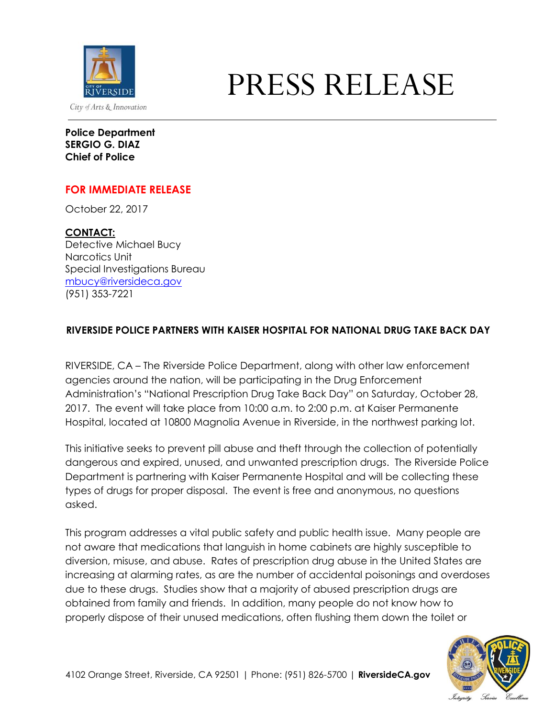

## PRESS RELEASE

**Police Department SERGIO G. DIAZ Chief of Police**

## **FOR IMMEDIATE RELEASE**

October 22, 2017

## **CONTACT:**

Detective Michael Bucy Narcotics Unit Special Investigations Bureau [mbucy@riversideca.gov](mailto:mbucy@riversideca.gov) (951) 353-7221

## **RIVERSIDE POLICE PARTNERS WITH KAISER HOSPITAL FOR NATIONAL DRUG TAKE BACK DAY**

RIVERSIDE, CA – The Riverside Police Department, along with other law enforcement agencies around the nation, will be participating in the Drug Enforcement Administration's "National Prescription Drug Take Back Day" on Saturday, October 28, 2017. The event will take place from 10:00 a.m. to 2:00 p.m. at Kaiser Permanente Hospital, located at 10800 Magnolia Avenue in Riverside, in the northwest parking lot.

This initiative seeks to prevent pill abuse and theft through the collection of potentially dangerous and expired, unused, and unwanted prescription drugs. The Riverside Police Department is partnering with Kaiser Permanente Hospital and will be collecting these types of drugs for proper disposal. The event is free and anonymous, no questions asked.

This program addresses a vital public safety and public health issue. Many people are not aware that medications that languish in home cabinets are highly susceptible to diversion, misuse, and abuse. Rates of prescription drug abuse in the United States are increasing at alarming rates, as are the number of accidental poisonings and overdoses due to these drugs. Studies show that a majority of abused prescription drugs are obtained from family and friends. In addition, many people do not know how to properly dispose of their unused medications, often flushing them down the toilet or